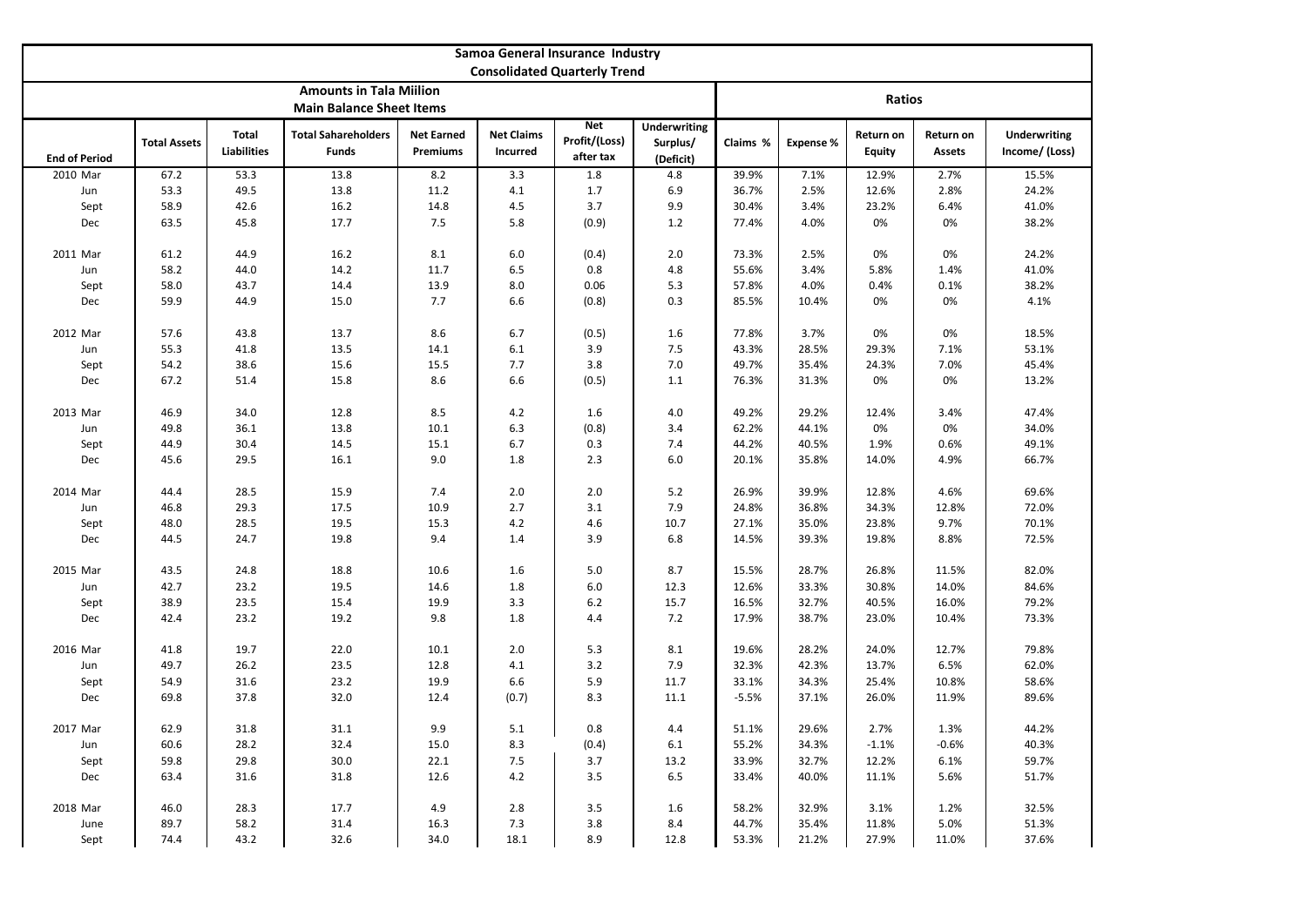| Samoa General Insurance Industry    |                     |                             |                                            |                               |                               |                                          |                                              |          |                  |                            |                            |                                       |  |  |
|-------------------------------------|---------------------|-----------------------------|--------------------------------------------|-------------------------------|-------------------------------|------------------------------------------|----------------------------------------------|----------|------------------|----------------------------|----------------------------|---------------------------------------|--|--|
| <b>Consolidated Quarterly Trend</b> |                     |                             |                                            |                               |                               |                                          |                                              |          |                  |                            |                            |                                       |  |  |
| <b>Amounts in Tala Miilion</b>      |                     |                             |                                            |                               |                               |                                          |                                              |          |                  |                            |                            |                                       |  |  |
| <b>Main Balance Sheet Items</b>     |                     |                             |                                            |                               |                               |                                          |                                              |          | Ratios           |                            |                            |                                       |  |  |
| <b>End of Period</b>                | <b>Total Assets</b> | Total<br><b>Liabilities</b> | <b>Total Sahareholders</b><br><b>Funds</b> | <b>Net Earned</b><br>Premiums | <b>Net Claims</b><br>Incurred | <b>Net</b><br>Profit/(Loss)<br>after tax | <b>Underwriting</b><br>Surplus/<br>(Deficit) | Claims % | <b>Expense %</b> | Return on<br><b>Equity</b> | Return on<br><b>Assets</b> | <b>Underwriting</b><br>Income/ (Loss) |  |  |
| 2010 Mar                            | 67.2                | 53.3                        | 13.8                                       | 8.2                           | 3.3                           | 1.8                                      | 4.8                                          | 39.9%    | 7.1%             | 12.9%                      | 2.7%                       | 15.5%                                 |  |  |
| Jun                                 | 53.3                | 49.5                        | 13.8                                       | 11.2                          | 4.1                           | 1.7                                      | 6.9                                          | 36.7%    | 2.5%             | 12.6%                      | 2.8%                       | 24.2%                                 |  |  |
| Sept                                | 58.9                | 42.6                        | 16.2                                       | 14.8                          | 4.5                           | 3.7                                      | 9.9                                          | 30.4%    | 3.4%             | 23.2%                      | 6.4%                       | 41.0%                                 |  |  |
| Dec                                 | 63.5                | 45.8                        | 17.7                                       | 7.5                           | 5.8                           | (0.9)                                    | 1.2                                          | 77.4%    | 4.0%             | 0%                         | 0%                         | 38.2%                                 |  |  |
|                                     |                     |                             |                                            |                               |                               |                                          |                                              |          |                  |                            |                            |                                       |  |  |
| 2011 Mar                            | 61.2                | 44.9                        | 16.2                                       | 8.1                           | 6.0                           | (0.4)                                    | 2.0                                          | 73.3%    | 2.5%             | 0%                         | 0%                         | 24.2%                                 |  |  |
| Jun                                 | 58.2                | 44.0                        | 14.2                                       | 11.7                          | 6.5                           | 0.8                                      | $4.8\,$                                      | 55.6%    | 3.4%             | 5.8%                       | 1.4%                       | 41.0%                                 |  |  |
| Sept                                | 58.0                | 43.7                        | 14.4                                       | 13.9                          | 8.0                           | 0.06                                     | 5.3                                          | 57.8%    | 4.0%             | 0.4%                       | 0.1%                       | 38.2%                                 |  |  |
| Dec                                 | 59.9                | 44.9                        | 15.0                                       | 7.7                           | 6.6                           | (0.8)                                    | 0.3                                          | 85.5%    | 10.4%            | 0%                         | 0%                         | 4.1%                                  |  |  |
|                                     |                     |                             |                                            |                               |                               |                                          |                                              |          |                  |                            |                            |                                       |  |  |
| 2012 Mar                            | 57.6                | 43.8                        | 13.7                                       | 8.6                           | 6.7                           | (0.5)                                    | 1.6                                          | 77.8%    | 3.7%             | 0%                         | 0%                         | 18.5%                                 |  |  |
| Jun                                 | 55.3                | 41.8                        | 13.5                                       | 14.1                          | 6.1                           | 3.9                                      | 7.5                                          | 43.3%    | 28.5%            | 29.3%                      | 7.1%                       | 53.1%                                 |  |  |
| Sept                                | 54.2                | 38.6                        | 15.6                                       | 15.5                          | 7.7                           | 3.8                                      | $7.0$                                        | 49.7%    | 35.4%            | 24.3%                      | 7.0%                       | 45.4%                                 |  |  |
| Dec                                 | 67.2                | 51.4                        | 15.8                                       | 8.6                           | 6.6                           | (0.5)                                    | 1.1                                          | 76.3%    | 31.3%            | 0%                         | 0%                         | 13.2%                                 |  |  |
|                                     |                     |                             |                                            |                               |                               |                                          | 4.0                                          | 49.2%    |                  |                            |                            |                                       |  |  |
| 2013 Mar                            | 46.9<br>49.8        | 34.0<br>36.1                | 12.8<br>13.8                               | 8.5<br>10.1                   | 4.2<br>6.3                    | 1.6<br>(0.8)                             | 3.4                                          | 62.2%    | 29.2%<br>44.1%   | 12.4%<br>0%                | 3.4%<br>0%                 | 47.4%<br>34.0%                        |  |  |
| Jun<br>Sept                         | 44.9                | 30.4                        | 14.5                                       | 15.1                          | 6.7                           | 0.3                                      | 7.4                                          | 44.2%    | 40.5%            | 1.9%                       | 0.6%                       | 49.1%                                 |  |  |
| Dec                                 | 45.6                | 29.5                        | 16.1                                       | 9.0                           | 1.8                           | 2.3                                      | 6.0                                          | 20.1%    | 35.8%            | 14.0%                      | 4.9%                       | 66.7%                                 |  |  |
|                                     |                     |                             |                                            |                               |                               |                                          |                                              |          |                  |                            |                            |                                       |  |  |
| 2014 Mar                            | 44.4                | 28.5                        | 15.9                                       | 7.4                           | 2.0                           | 2.0                                      | 5.2                                          | 26.9%    | 39.9%            | 12.8%                      | 4.6%                       | 69.6%                                 |  |  |
| Jun                                 | 46.8                | 29.3                        | 17.5                                       | 10.9                          | 2.7                           | 3.1                                      | 7.9                                          | 24.8%    | 36.8%            | 34.3%                      | 12.8%                      | 72.0%                                 |  |  |
| Sept                                | 48.0                | 28.5                        | 19.5                                       | 15.3                          | 4.2                           | 4.6                                      | 10.7                                         | 27.1%    | 35.0%            | 23.8%                      | 9.7%                       | 70.1%                                 |  |  |
| Dec                                 | 44.5                | 24.7                        | 19.8                                       | 9.4                           | 1.4                           | 3.9                                      | 6.8                                          | 14.5%    | 39.3%            | 19.8%                      | 8.8%                       | 72.5%                                 |  |  |
|                                     |                     |                             |                                            |                               |                               |                                          |                                              |          |                  |                            |                            |                                       |  |  |
| 2015 Mar                            | 43.5                | 24.8                        | 18.8                                       | 10.6                          | 1.6                           | 5.0                                      | 8.7                                          | 15.5%    | 28.7%            | 26.8%                      | 11.5%                      | 82.0%                                 |  |  |
| Jun                                 | 42.7                | 23.2                        | 19.5                                       | 14.6                          | 1.8                           | 6.0                                      | 12.3                                         | 12.6%    | 33.3%            | 30.8%                      | 14.0%                      | 84.6%                                 |  |  |
| Sept                                | 38.9                | 23.5                        | 15.4                                       | 19.9                          | 3.3                           | $6.2$                                    | 15.7                                         | 16.5%    | 32.7%            | 40.5%                      | 16.0%                      | 79.2%                                 |  |  |
| Dec                                 | 42.4                | 23.2                        | 19.2                                       | 9.8                           | 1.8                           | 4.4                                      | 7.2                                          | 17.9%    | 38.7%            | 23.0%                      | 10.4%                      | 73.3%                                 |  |  |
|                                     |                     |                             |                                            |                               |                               |                                          |                                              |          |                  |                            |                            |                                       |  |  |
| 2016 Mar                            | 41.8                | 19.7                        | 22.0                                       | 10.1                          | 2.0                           | 5.3                                      | 8.1                                          | 19.6%    | 28.2%            | 24.0%                      | 12.7%                      | 79.8%                                 |  |  |
| Jun                                 | 49.7                | 26.2                        | 23.5                                       | 12.8                          | 4.1                           | 3.2                                      | 7.9                                          | 32.3%    | 42.3%            | 13.7%                      | 6.5%                       | 62.0%                                 |  |  |
| Sept                                | 54.9                | 31.6                        | 23.2                                       | 19.9                          | 6.6                           | 5.9                                      | 11.7                                         | 33.1%    | 34.3%            | 25.4%                      | 10.8%                      | 58.6%                                 |  |  |
| Dec                                 | 69.8                | 37.8                        | 32.0                                       | 12.4                          | (0.7)                         | 8.3                                      | 11.1                                         | $-5.5%$  | 37.1%            | 26.0%                      | 11.9%                      | 89.6%                                 |  |  |
|                                     |                     |                             |                                            |                               |                               |                                          |                                              |          |                  |                            |                            |                                       |  |  |
| 2017 Mar                            | 62.9                | 31.8                        | 31.1                                       | 9.9                           | 5.1                           | 0.8                                      | 4.4                                          | 51.1%    | 29.6%            | 2.7%                       | 1.3%                       | 44.2%                                 |  |  |
| Jun                                 | 60.6                | 28.2                        | 32.4                                       | 15.0                          | 8.3                           | (0.4)                                    | 6.1                                          | 55.2%    | 34.3%            | $-1.1%$                    | $-0.6%$                    | 40.3%                                 |  |  |
| Sept                                | 59.8                | 29.8                        | 30.0                                       | 22.1                          | 7.5                           | 3.7                                      | 13.2                                         | 33.9%    | 32.7%            | 12.2%                      | 6.1%                       | 59.7%                                 |  |  |
| Dec                                 | 63.4                | 31.6                        | 31.8                                       | 12.6                          | 4.2                           | 3.5                                      | 6.5                                          | 33.4%    | 40.0%            | 11.1%                      | 5.6%                       | 51.7%                                 |  |  |
|                                     |                     |                             |                                            |                               |                               |                                          |                                              |          |                  |                            |                            |                                       |  |  |
| 2018 Mar                            | 46.0                | 28.3                        | 17.7                                       | 4.9                           | 2.8                           | 3.5                                      | 1.6                                          | 58.2%    | 32.9%            | 3.1%                       | 1.2%                       | 32.5%                                 |  |  |
| June                                | 89.7                | 58.2                        | 31.4                                       | 16.3                          | 7.3                           | 3.8                                      | 8.4                                          | 44.7%    | 35.4%            | 11.8%                      | 5.0%                       | 51.3%                                 |  |  |
| Sept                                | 74.4                | 43.2                        | 32.6                                       | 34.0                          | 18.1                          | 8.9                                      | 12.8                                         | 53.3%    | 21.2%            | 27.9%                      | 11.0%                      | 37.6%                                 |  |  |